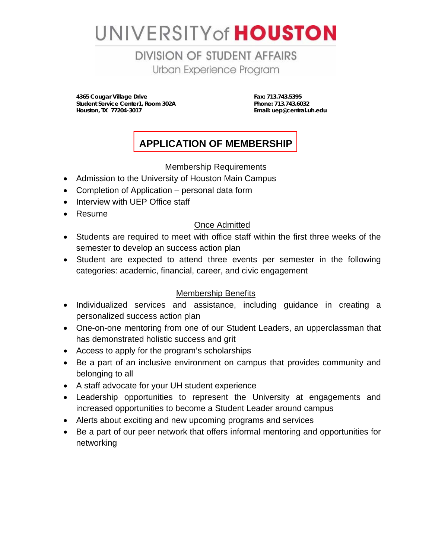# UNIVERSITY of **HOUSTON**

**DIVISION OF STUDENT AFFAIRS** Urban Experience Program

 **4365 Cougar Village Drive Fax: 713.743.5395 Student Service Center1, Room 302A** Phone: 713.743.6032<br>
Houston, TX 77204-3017<br>
Phone: Email: uep@central.u

**Email: uep@central.uh.edu** 

# **APPLICATION OF MEMBERSHIP**

## Membership Requirements

- Admission to the University of Houston Main Campus
- Completion of Application personal data form
- Interview with UEP Office staff
- Resume

## Once Admitted

- Students are required to meet with office staff within the first three weeks of the semester to develop an success action plan
- Student are expected to attend three events per semester in the following categories: academic, financial, career, and civic engagement

# Membership Benefits

- Individualized services and assistance, including guidance in creating a personalized success action plan
- One-on-one mentoring from one of our Student Leaders, an upperclassman that has demonstrated holistic success and grit
- Access to apply for the program's scholarships
- Be a part of an inclusive environment on campus that provides community and belonging to all
- A staff advocate for your UH student experience
- Leadership opportunities to represent the University at engagements and increased opportunities to become a Student Leader around campus
- Alerts about exciting and new upcoming programs and services
- Be a part of our peer network that offers informal mentoring and opportunities for networking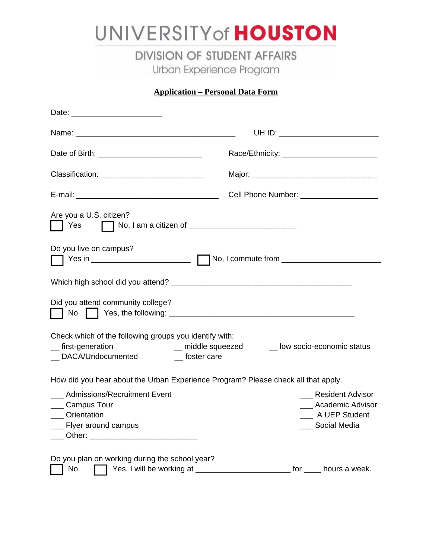# UNIVERSITY of **HOUSTON**

**DIVISION OF STUDENT AFFAIRS** Urban Experience Program

**Application – Personal Data Form** 

|                                                                                                                                   | UH ID: _________________________                                                                                                                                            |
|-----------------------------------------------------------------------------------------------------------------------------------|-----------------------------------------------------------------------------------------------------------------------------------------------------------------------------|
| Date of Birth: __________________________________                                                                                 |                                                                                                                                                                             |
| Classification: ________________________________                                                                                  |                                                                                                                                                                             |
|                                                                                                                                   | Cell Phone Number: _____________________                                                                                                                                    |
| Are you a U.S. citizen?<br>Yes $\Box$ No, I am a citizen of $\Box$<br>Do you live on campus?<br>Did you attend community college? |                                                                                                                                                                             |
| Check which of the following groups you identify with:<br>_first-generation<br>__ DACA/Undocumented ______ foster care            | __ middle squeezed ______ low socio-economic status                                                                                                                         |
| ___ Admissions/Recruitment Event<br>__ Campus Tour<br>__ Orientation<br>__ Flyer around campus                                    | How did you hear about the Urban Experience Program? Please check all that apply.<br><b>Resident Advisor</b><br>__ Academic Advisor<br>__ A UEP Student<br>___ Social Media |
| Do you plan on working during the school year?<br>No                                                                              | Yes. I will be working at ____________________________ for _____ hours a week.                                                                                              |